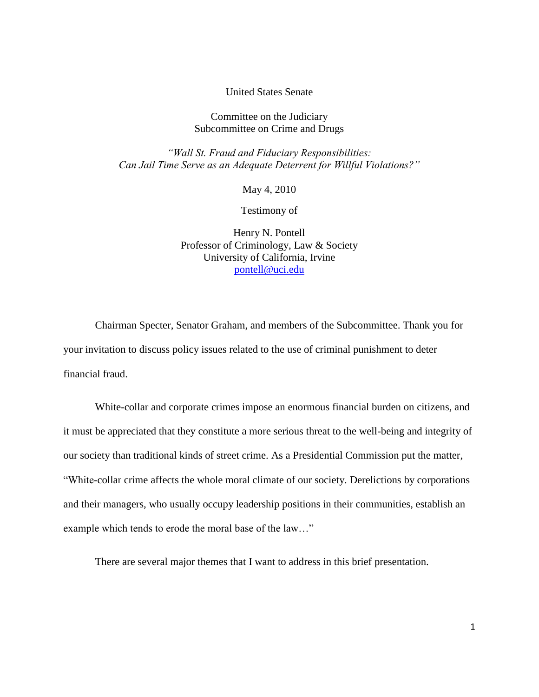United States Senate

Committee on the Judiciary Subcommittee on Crime and Drugs

*"Wall St. Fraud and Fiduciary Responsibilities: Can Jail Time Serve as an Adequate Deterrent for Willful Violations?"*

May 4, 2010

Testimony of

Henry N. Pontell Professor of Criminology, Law & Society University of California, Irvine [pontell@uci.edu](mailto:pontell@uci.edu)

Chairman Specter, Senator Graham, and members of the Subcommittee. Thank you for your invitation to discuss policy issues related to the use of criminal punishment to deter financial fraud.

White-collar and corporate crimes impose an enormous financial burden on citizens, and it must be appreciated that they constitute a more serious threat to the well-being and integrity of our society than traditional kinds of street crime. As a Presidential Commission put the matter, "White-collar crime affects the whole moral climate of our society. Derelictions by corporations and their managers, who usually occupy leadership positions in their communities, establish an example which tends to erode the moral base of the law…"

There are several major themes that I want to address in this brief presentation.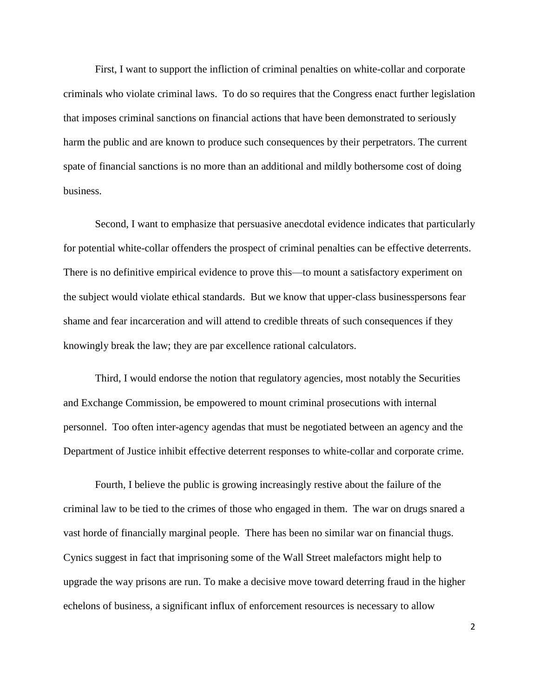First, I want to support the infliction of criminal penalties on white-collar and corporate criminals who violate criminal laws. To do so requires that the Congress enact further legislation that imposes criminal sanctions on financial actions that have been demonstrated to seriously harm the public and are known to produce such consequences by their perpetrators. The current spate of financial sanctions is no more than an additional and mildly bothersome cost of doing business.

Second, I want to emphasize that persuasive anecdotal evidence indicates that particularly for potential white-collar offenders the prospect of criminal penalties can be effective deterrents. There is no definitive empirical evidence to prove this—to mount a satisfactory experiment on the subject would violate ethical standards. But we know that upper-class businesspersons fear shame and fear incarceration and will attend to credible threats of such consequences if they knowingly break the law; they are par excellence rational calculators.

Third, I would endorse the notion that regulatory agencies, most notably the Securities and Exchange Commission, be empowered to mount criminal prosecutions with internal personnel. Too often inter-agency agendas that must be negotiated between an agency and the Department of Justice inhibit effective deterrent responses to white-collar and corporate crime.

Fourth, I believe the public is growing increasingly restive about the failure of the criminal law to be tied to the crimes of those who engaged in them. The war on drugs snared a vast horde of financially marginal people. There has been no similar war on financial thugs. Cynics suggest in fact that imprisoning some of the Wall Street malefactors might help to upgrade the way prisons are run. To make a decisive move toward deterring fraud in the higher echelons of business, a significant influx of enforcement resources is necessary to allow

2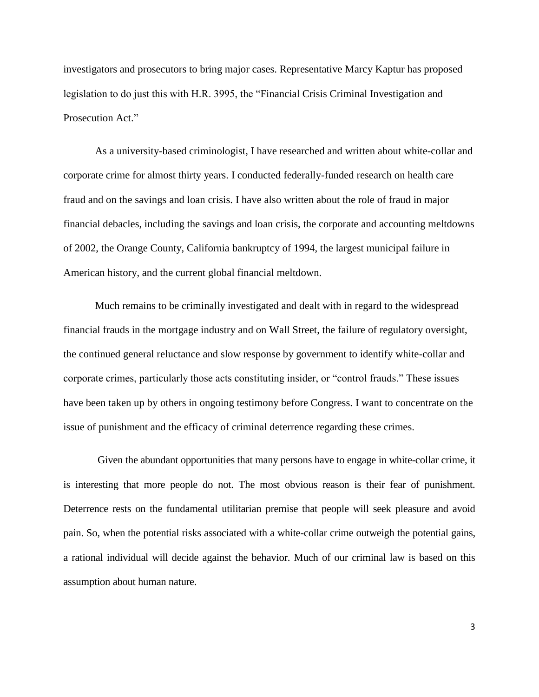investigators and prosecutors to bring major cases. Representative Marcy Kaptur has proposed legislation to do just this with H.R. 3995, the "Financial Crisis Criminal Investigation and Prosecution Act."

As a university-based criminologist, I have researched and written about white-collar and corporate crime for almost thirty years. I conducted federally-funded research on health care fraud and on the savings and loan crisis. I have also written about the role of fraud in major financial debacles, including the savings and loan crisis, the corporate and accounting meltdowns of 2002, the Orange County, California bankruptcy of 1994, the largest municipal failure in American history, and the current global financial meltdown.

Much remains to be criminally investigated and dealt with in regard to the widespread financial frauds in the mortgage industry and on Wall Street, the failure of regulatory oversight, the continued general reluctance and slow response by government to identify white-collar and corporate crimes, particularly those acts constituting insider, or "control frauds." These issues have been taken up by others in ongoing testimony before Congress. I want to concentrate on the issue of punishment and the efficacy of criminal deterrence regarding these crimes.

Given the abundant opportunities that many persons have to engage in white-collar crime, it is interesting that more people do not. The most obvious reason is their fear of punishment. Deterrence rests on the fundamental utilitarian premise that people will seek pleasure and avoid pain. So, when the potential risks associated with a white-collar crime outweigh the potential gains, a rational individual will decide against the behavior. Much of our criminal law is based on this assumption about human nature.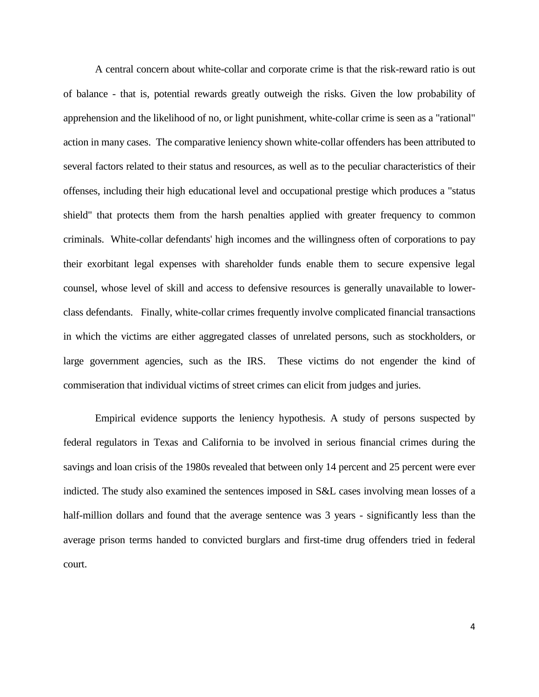A central concern about white-collar and corporate crime is that the risk-reward ratio is out of balance - that is, potential rewards greatly outweigh the risks. Given the low probability of apprehension and the likelihood of no, or light punishment, white-collar crime is seen as a "rational" action in many cases. The comparative leniency shown white-collar offenders has been attributed to several factors related to their status and resources, as well as to the peculiar characteristics of their offenses, including their high educational level and occupational prestige which produces a "status shield" that protects them from the harsh penalties applied with greater frequency to common criminals. White-collar defendants' high incomes and the willingness often of corporations to pay their exorbitant legal expenses with shareholder funds enable them to secure expensive legal counsel, whose level of skill and access to defensive resources is generally unavailable to lowerclass defendants. Finally, white-collar crimes frequently involve complicated financial transactions in which the victims are either aggregated classes of unrelated persons, such as stockholders, or large government agencies, such as the IRS. These victims do not engender the kind of commiseration that individual victims of street crimes can elicit from judges and juries.

Empirical evidence supports the leniency hypothesis. A study of persons suspected by federal regulators in Texas and California to be involved in serious financial crimes during the savings and loan crisis of the 1980s revealed that between only 14 percent and 25 percent were ever indicted. The study also examined the sentences imposed in S&L cases involving mean losses of a half-million dollars and found that the average sentence was 3 years - significantly less than the average prison terms handed to convicted burglars and first-time drug offenders tried in federal court.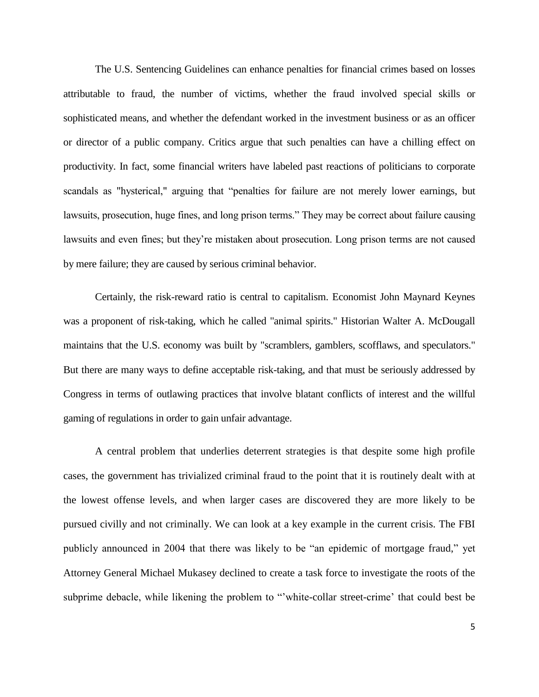The U.S. Sentencing Guidelines can enhance penalties for financial crimes based on losses attributable to fraud, the number of victims, whether the fraud involved special skills or sophisticated means, and whether the defendant worked in the investment business or as an officer or director of a public company. Critics argue that such penalties can have a chilling effect on productivity. In fact, some financial writers have labeled past reactions of politicians to corporate scandals as "hysterical," arguing that "penalties for failure are not merely lower earnings, but lawsuits, prosecution, huge fines, and long prison terms." They may be correct about failure causing lawsuits and even fines; but they're mistaken about prosecution. Long prison terms are not caused by mere failure; they are caused by serious criminal behavior.

Certainly, the risk-reward ratio is central to capitalism. Economist John Maynard Keynes was a proponent of risk-taking, which he called "animal spirits." Historian Walter A. McDougall maintains that the U.S. economy was built by "scramblers, gamblers, scofflaws, and speculators." But there are many ways to define acceptable risk-taking, and that must be seriously addressed by Congress in terms of outlawing practices that involve blatant conflicts of interest and the willful gaming of regulations in order to gain unfair advantage.

A central problem that underlies deterrent strategies is that despite some high profile cases, the government has trivialized criminal fraud to the point that it is routinely dealt with at the lowest offense levels, and when larger cases are discovered they are more likely to be pursued civilly and not criminally. We can look at a key example in the current crisis. The FBI publicly announced in 2004 that there was likely to be "an epidemic of mortgage fraud," yet Attorney General Michael Mukasey declined to create a task force to investigate the roots of the subprime debacle, while likening the problem to "'white-collar street-crime' that could best be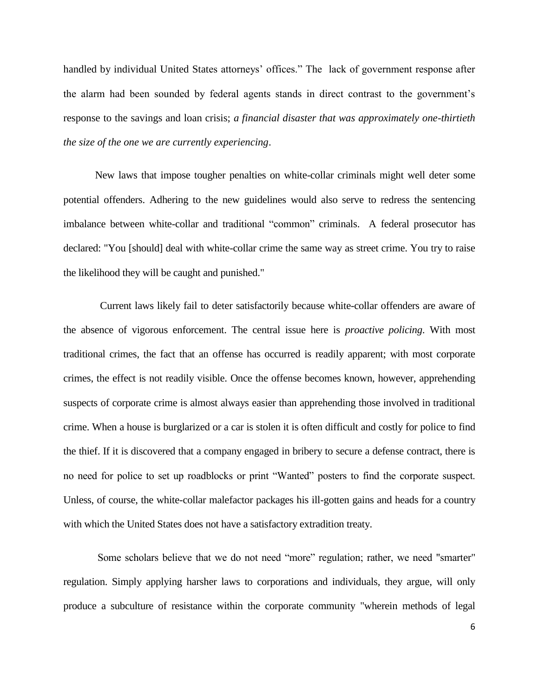handled by individual United States attorneys' offices." The lack of government response after the alarm had been sounded by federal agents stands in direct contrast to the government's response to the savings and loan crisis; *a financial disaster that was approximately one-thirtieth the size of the one we are currently experiencing*.

New laws that impose tougher penalties on white-collar criminals might well deter some potential offenders. Adhering to the new guidelines would also serve to redress the sentencing imbalance between white-collar and traditional "common" criminals. A federal prosecutor has declared: "You [should] deal with white-collar crime the same way as street crime. You try to raise the likelihood they will be caught and punished."

 Current laws likely fail to deter satisfactorily because white-collar offenders are aware of the absence of vigorous enforcement. The central issue here is *proactive policing*. With most traditional crimes, the fact that an offense has occurred is readily apparent; with most corporate crimes, the effect is not readily visible. Once the offense becomes known, however, apprehending suspects of corporate crime is almost always easier than apprehending those involved in traditional crime. When a house is burglarized or a car is stolen it is often difficult and costly for police to find the thief. If it is discovered that a company engaged in bribery to secure a defense contract, there is no need for police to set up roadblocks or print "Wanted" posters to find the corporate suspect. Unless, of course, the white-collar malefactor packages his ill-gotten gains and heads for a country with which the United States does not have a satisfactory extradition treaty.

 Some scholars believe that we do not need "more" regulation; rather, we need "smarter" regulation. Simply applying harsher laws to corporations and individuals, they argue, will only produce a subculture of resistance within the corporate community "wherein methods of legal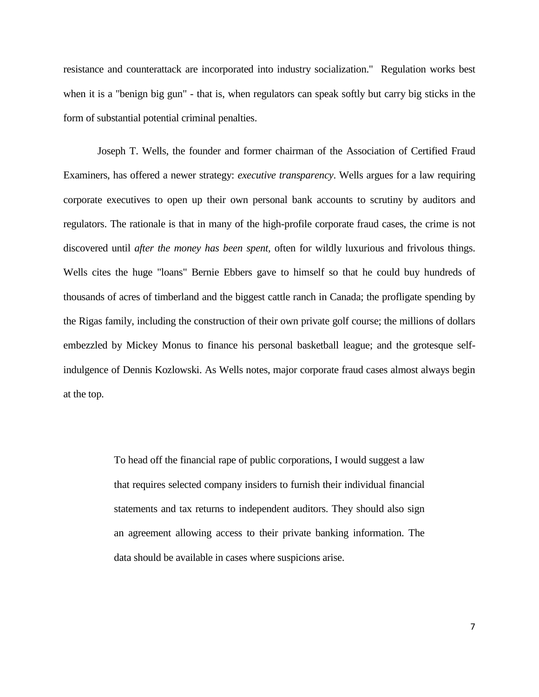resistance and counterattack are incorporated into industry socialization." Regulation works best when it is a "benign big gun" - that is, when regulators can speak softly but carry big sticks in the form of substantial potential criminal penalties.

 Joseph T. Wells, the founder and former chairman of the Association of Certified Fraud Examiners, has offered a newer strategy: *executive transparency*. Wells argues for a law requiring corporate executives to open up their own personal bank accounts to scrutiny by auditors and regulators. The rationale is that in many of the high-profile corporate fraud cases, the crime is not discovered until *after the money has been spent,* often for wildly luxurious and frivolous things. Wells cites the huge "loans" Bernie Ebbers gave to himself so that he could buy hundreds of thousands of acres of timberland and the biggest cattle ranch in Canada; the profligate spending by the Rigas family, including the construction of their own private golf course; the millions of dollars embezzled by Mickey Monus to finance his personal basketball league; and the grotesque selfindulgence of Dennis Kozlowski. As Wells notes, major corporate fraud cases almost always begin at the top.

> To head off the financial rape of public corporations, I would suggest a law that requires selected company insiders to furnish their individual financial statements and tax returns to independent auditors. They should also sign an agreement allowing access to their private banking information. The data should be available in cases where suspicions arise.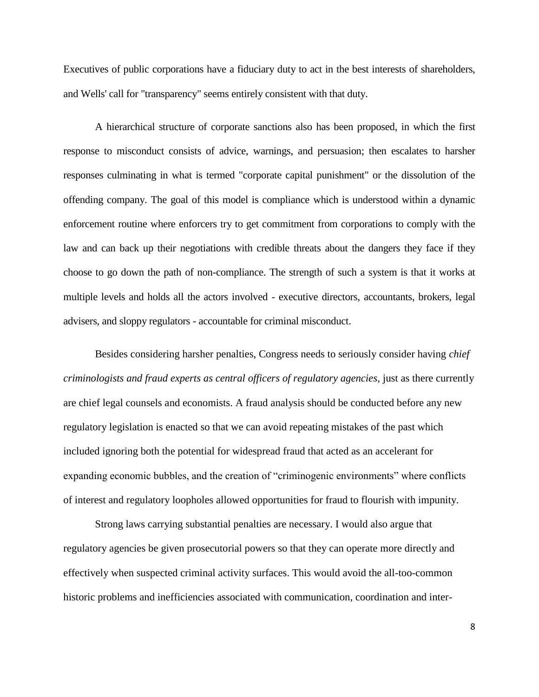Executives of public corporations have a fiduciary duty to act in the best interests of shareholders, and Wells' call for "transparency" seems entirely consistent with that duty.

 A hierarchical structure of corporate sanctions also has been proposed, in which the first response to misconduct consists of advice, warnings, and persuasion; then escalates to harsher responses culminating in what is termed "corporate capital punishment" or the dissolution of the offending company. The goal of this model is compliance which is understood within a dynamic enforcement routine where enforcers try to get commitment from corporations to comply with the law and can back up their negotiations with credible threats about the dangers they face if they choose to go down the path of non-compliance. The strength of such a system is that it works at multiple levels and holds all the actors involved - executive directors, accountants, brokers, legal advisers, and sloppy regulators - accountable for criminal misconduct.

Besides considering harsher penalties, Congress needs to seriously consider having *chief criminologists and fraud experts as central officers of regulatory agencies*, just as there currently are chief legal counsels and economists. A fraud analysis should be conducted before any new regulatory legislation is enacted so that we can avoid repeating mistakes of the past which included ignoring both the potential for widespread fraud that acted as an accelerant for expanding economic bubbles, and the creation of "criminogenic environments" where conflicts of interest and regulatory loopholes allowed opportunities for fraud to flourish with impunity.

Strong laws carrying substantial penalties are necessary. I would also argue that regulatory agencies be given prosecutorial powers so that they can operate more directly and effectively when suspected criminal activity surfaces. This would avoid the all-too-common historic problems and inefficiencies associated with communication, coordination and inter-

8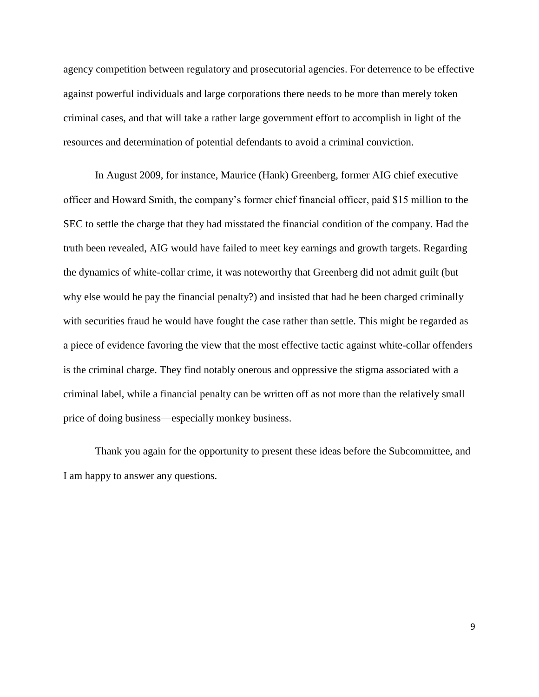agency competition between regulatory and prosecutorial agencies. For deterrence to be effective against powerful individuals and large corporations there needs to be more than merely token criminal cases, and that will take a rather large government effort to accomplish in light of the resources and determination of potential defendants to avoid a criminal conviction.

In August 2009, for instance, Maurice (Hank) Greenberg, former AIG chief executive officer and Howard Smith, the company's former chief financial officer, paid \$15 million to the SEC to settle the charge that they had misstated the financial condition of the company. Had the truth been revealed, AIG would have failed to meet key earnings and growth targets. Regarding the dynamics of white-collar crime, it was noteworthy that Greenberg did not admit guilt (but why else would he pay the financial penalty?) and insisted that had he been charged criminally with securities fraud he would have fought the case rather than settle. This might be regarded as a piece of evidence favoring the view that the most effective tactic against white-collar offenders is the criminal charge. They find notably onerous and oppressive the stigma associated with a criminal label, while a financial penalty can be written off as not more than the relatively small price of doing business—especially monkey business.

Thank you again for the opportunity to present these ideas before the Subcommittee, and I am happy to answer any questions.